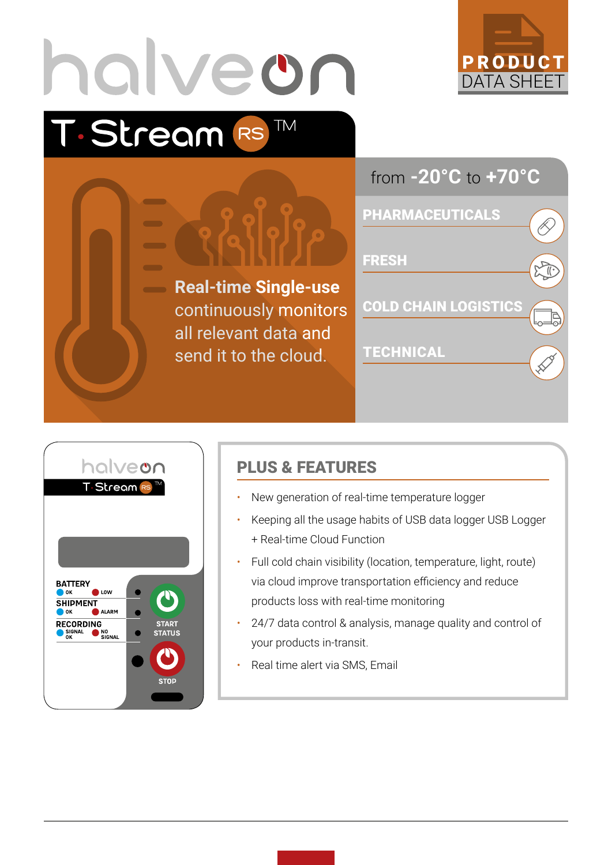



## PLUS & FEATURES

- New generation of real-time temperature logger
- Keeping all the usage habits of USB data logger USB Logger + Real-time Cloud Function
- Full cold chain visibility (location, temperature, light, route) via cloud improve transportation efficiency and reduce products loss with real-time monitoring
- 24/7 data control & analysis, manage quality and control of your products in-transit.
- Real time alert via SMS, Email